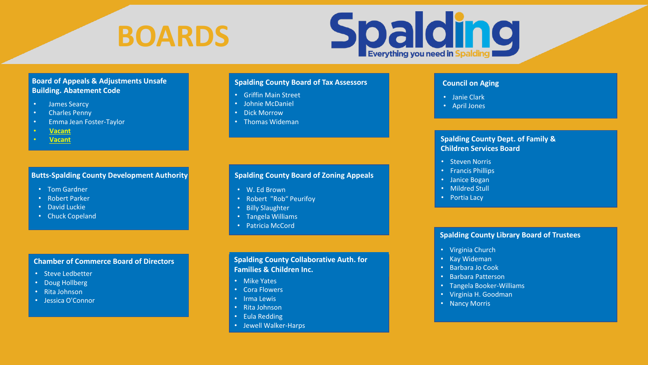



# **Board of Appeals & Adjustments Unsafe Building. Abatement Code**

- James Searcy
- Charles Penny
- Emma Jean Foster-Taylor
- **Vacant**
- **Vacant**

#### **Butts-Spalding County Development Authority**

- Tom Gardner
- Robert Parker
- David Luckie
- Chuck Copeland

# **Chamber of Commerce Board of Directors**

- Steve Ledbetter
- Doug Hollberg
- Rita Johnson
- Jessica O'Connor

# **Spalding County Board of Tax Assessors**

- Griffin Main Street
- Johnie McDaniel
- Dick Morrow
- Thomas Wideman

# **Spalding County Board of Zoning Appeals**

- W. Ed Brown
- Robert "Rob" Peurifoy
- Billy Slaughter
- Tangela Williams
- Patricia McCord

# **Spalding County Collaborative Auth. for Families & Children Inc.**

- Mike Yates
- Cora Flowers
- Irma Lewis
- Rita Johnson
- Eula Redding
- Jewell Walker-Harps

# **Council on Aging**

- Janie Clark
- April Jones

# **Spalding County Dept. of Family & Children Services Board**

- Steven Norris
- Francis Phillips
- Janice Bogan
- Mildred Stull
- Portia Lacy

#### **Spalding County Library Board of Trustees**

- Virginia Church
- Kay Wideman
- Barbara Jo Cook
- Barbara Patterson
- Tangela Booker-Williams
- Virginia H. Goodman
- Nancy Morris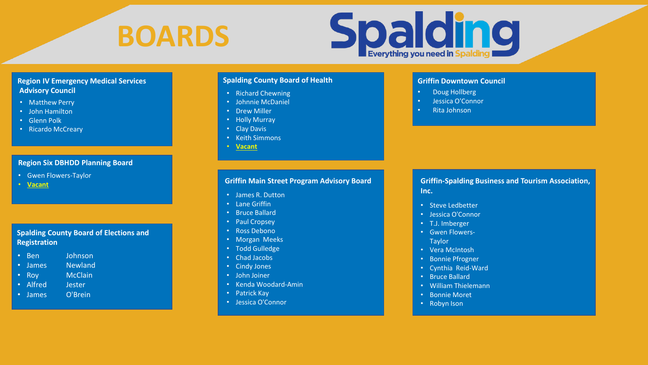



# **Region IV Emergency Medical Services Advisory Council**

- Matthew Perry
- John Hamilton
- Glenn Polk
- Ricardo McCreary

# **Region Six DBHDD Planning Board**

- Gwen Flowers-Taylor
- **Vacant**

#### **Spalding County Board of Elections and Registration**

- Ben Johnson
- James Newland
- Roy McClain
- Alfred Jester
- James O'Brein

# **Spalding County Board of Health**

- Richard Chewning
- Johnnie McDaniel
- Drew Miller
- Holly Murray
- Clay Davis
- Keith Simmons
- **Vacant**

# **Griffin Main Street Program Advisory Board**

- James R. Dutton
- Lane Griffin
- Bruce Ballard
- Paul Cropsey
- Ross Debono
- Morgan Meeks
- Todd Gulledge
- Chad Jacobs
- Cindy Jones
- John Joiner
- Kenda Woodard-Amin
- Patrick Kay
- Jessica O'Connor

# **Griffin Downtown Council**

- Doug Hollberg
- Jessica O'Connor
- Rita Johnson

# **Griffin-Spalding Business and Tourism Association, Inc.**

- Steve Ledbetter
- Jessica O'Connor
- T.J. Imberger
- Gwen Flowers-**Taylor** 
	-
- Vera McIntosh
- Bonnie Pfrogner
- Cynthia Reid-Ward
- Bruce Ballard
- William Thielemann
- Bonnie Moret
- Robyn Ison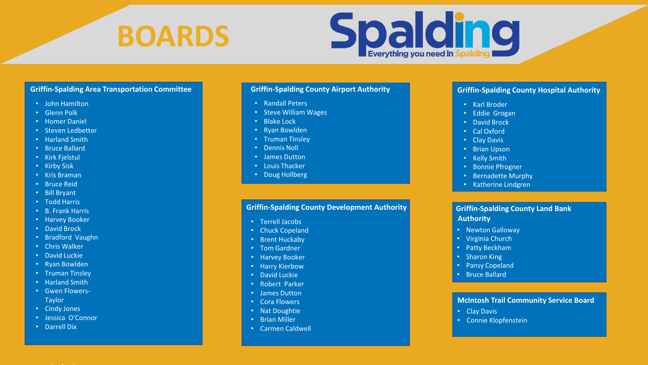



# **Griffin-Spalding Area Transportation Committee**

- John Hamilton
- Glenn Polk
- Homer Daniel
- Steven Ledbetter
- Harland Smith
- Bruce Ballard
- Kirk Fjelstul
- Kirby Sisk
- Kris Braman
- Bruce Reid
- Bill Bryant
- Todd Harris
- B. Frank Harris
- Harvey Booker
- David Brock
- Bradford Vaughn
- Chris Walker
- David Luckie
- Ryan Bowlden
- Truman Tinsley
- Harland Smith
- Gwen Flowers-**Taylor**
- Cindy Jones
- Jessica O'Connor
- Darrell Dix

#### **Griffin-Spalding County Airport Authority**

- Randall Peters
- Steve William Wages
- Blake Lock
- Ryan Bowlden
- Truman Tinsley
- Dennis Noll
- James Dutton
- Louis Thacker
- Doug Hollberg

#### **Griffin-Spalding County Development Authority**

- Terrell Jacobs
- Chuck Copeland
- Brent Huckaby
- Tom Gardner
- Harvey Booker
- Harry Kierbow
- David Luckie
- Robert Parker
- James Dutton
- Cora Flowers
- Nat Doughtie
- Brian Miller
- Carmen Caldwell

# **Griffin-Spalding County Hospital Authority**

- Karl Broder
- Eddie Grogan
- David Brock
- Cal Oxford
- Clay Davis
- Brian Upson
- Kelly Smith
- Bonnie Pfrogner
- Bernadette Murphy
- Katherine Lindgren

# **Griffin-Spalding County Land Bank Authority**

- Newton Galloway
- Virginia Church
- Patty Beckham
- Sharon King
- Pansy Copeland
- Bruce Ballard

# **McIntosh Trail Community Service Board**

- Clay Davis
- Connie Klopfenstein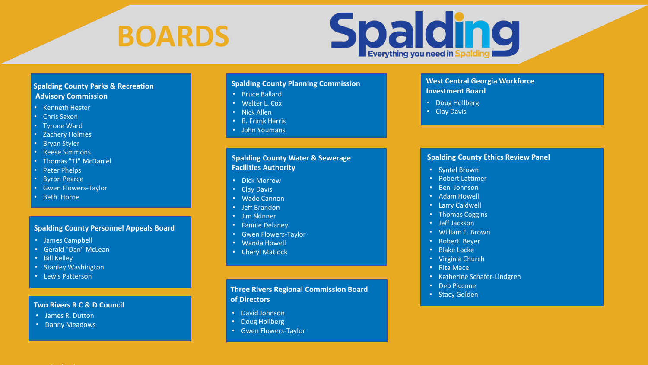# **BOARDS**



# **Spalding County Parks & Recreation Advisory Commission**

- Kenneth Hester
- Chris Saxon
- Tyrone Ward
- Zachery Holmes
- Bryan Styler
- Reese Simmons
- Thomas "TJ" McDaniel
- Peter Phelps
- Byron Pearce
- Gwen Flowers-Taylor
- Beth Horne

#### **Spalding County Personnel Appeals Board**

- James Campbell
- Gerald "Dan" McLean
- Bill Kelley
- Stanley Washington
- Lewis Patterson

#### **Two Rivers R C & D Council**

- James R. Dutton
- Danny Meadows

#### **Spalding County Planning Commission**

- Bruce Ballard
- Walter L. Cox
- Nick Allen
- B. Frank Harris
- John Youmans

# **Spalding County Water & Sewerage Facilities Authority**

- Dick Morrow
- Clay Davis
- Wade Cannon
- Jeff Brandon
- Jim Skinner
- Fannie Delaney
- Gwen Flowers-Taylor
- Wanda Howell
- Cheryl Matlock

# **Three Rivers Regional Commission Board of Directors**

- David Johnson
- Doug Hollberg
- Gwen Flowers-Taylor

#### **West Central Georgia Workforce Investment Board**

- Doug Hollberg
- Clay Davis

#### **Spalding County Ethics Review Panel**

- Syntel Brown
- Robert Lattimer
- Ben Johnson
- Adam Howell
- Larry Caldwell
- Thomas Coggins
- Jeff Jackson
- **Spalding County Library Board of Trustees** William E. Brown
- Robert Beyer
- Blake Locke
- Virginia Church
- Rita Mace
- Katherine Schafer-Lindgren
- Deb Piccone
- Stacy Golden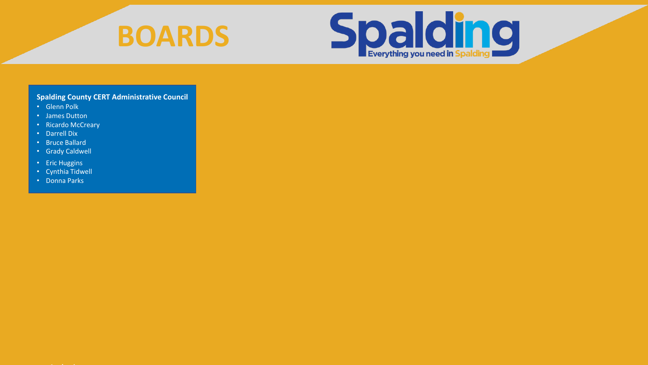



# **Spalding County CERT Administrative Council**

- Glenn Polk
- James Dutton
- Ricardo McCreary
- Darrell Dix
- Bruce Ballard
- Grady Caldwell
- Eric Huggins
- Cynthia Tidwell
- Donna Parks